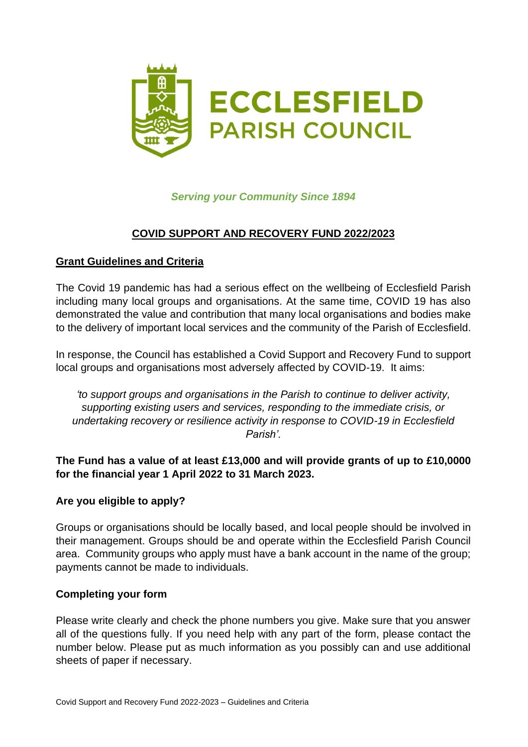

# *Serving your Community Since 1894*

## **COVID SUPPORT AND RECOVERY FUND 2022/2023**

#### **Grant Guidelines and Criteria**

The Covid 19 pandemic has had a serious effect on the wellbeing of Ecclesfield Parish including many local groups and organisations. At the same time, COVID 19 has also demonstrated the value and contribution that many local organisations and bodies make to the delivery of important local services and the community of the Parish of Ecclesfield.

In response, the Council has established a Covid Support and Recovery Fund to support local groups and organisations most adversely affected by COVID-19. It aims:

*'to support groups and organisations in the Parish to continue to deliver activity, supporting existing users and services, responding to the immediate crisis, or undertaking recovery or resilience activity in response to COVID-19 in Ecclesfield Parish'.*

#### **The Fund has a value of at least £13,000 and will provide grants of up to £10,0000 for the financial year 1 April 2022 to 31 March 2023.**

#### **Are you eligible to apply?**

Groups or organisations should be locally based, and local people should be involved in their management. Groups should be and operate within the Ecclesfield Parish Council area. Community groups who apply must have a bank account in the name of the group; payments cannot be made to individuals.

#### **Completing your form**

Please write clearly and check the phone numbers you give. Make sure that you answer all of the questions fully. If you need help with any part of the form, please contact the number below. Please put as much information as you possibly can and use additional sheets of paper if necessary.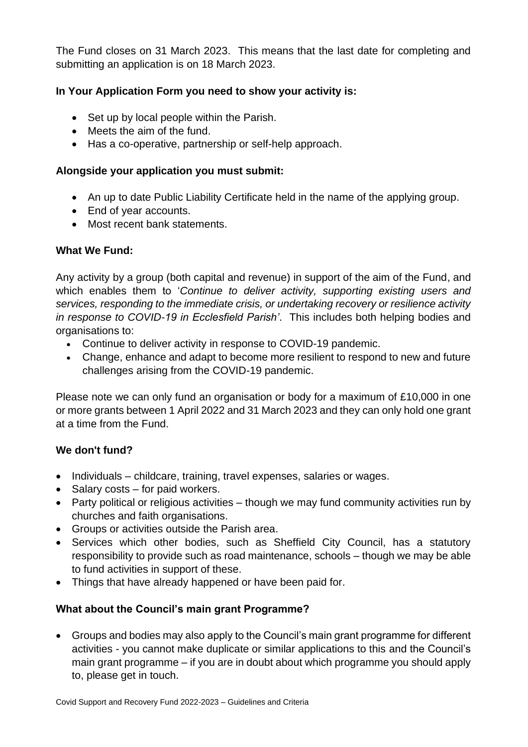The Fund closes on 31 March 2023. This means that the last date for completing and submitting an application is on 18 March 2023.

# **In Your Application Form you need to show your activity is:**

- Set up by local people within the Parish.
- Meets the aim of the fund.
- Has a co-operative, partnership or self-help approach.

### **Alongside your application you must submit:**

- An up to date Public Liability Certificate held in the name of the applying group.
- End of year accounts.
- Most recent bank statements.

#### **What We Fund:**

Any activity by a group (both capital and revenue) in support of the aim of the Fund, and which enables them to '*Continue to deliver activity, supporting existing users and services, responding to the immediate crisis, or undertaking recovery or resilience activity in response to COVID-19 in Ecclesfield Parish'*. This includes both helping bodies and organisations to:

- Continue to deliver activity in response to COVID-19 pandemic.
- Change, enhance and adapt to become more resilient to respond to new and future challenges arising from the COVID-19 pandemic.

Please note we can only fund an organisation or body for a maximum of £10,000 in one or more grants between 1 April 2022 and 31 March 2023 and they can only hold one grant at a time from the Fund.

## **We don't fund?**

- Individuals childcare, training, travel expenses, salaries or wages.
- Salary costs for paid workers.
- Party political or religious activities though we may fund community activities run by churches and faith organisations.
- Groups or activities outside the Parish area.
- Services which other bodies, such as Sheffield City Council, has a statutory responsibility to provide such as road maintenance, schools – though we may be able to fund activities in support of these.
- Things that have already happened or have been paid for.

## **What about the Council's main grant Programme?**

• Groups and bodies may also apply to the Council's main grant programme for different activities - you cannot make duplicate or similar applications to this and the Council's main grant programme – if you are in doubt about which programme you should apply to, please get in touch.